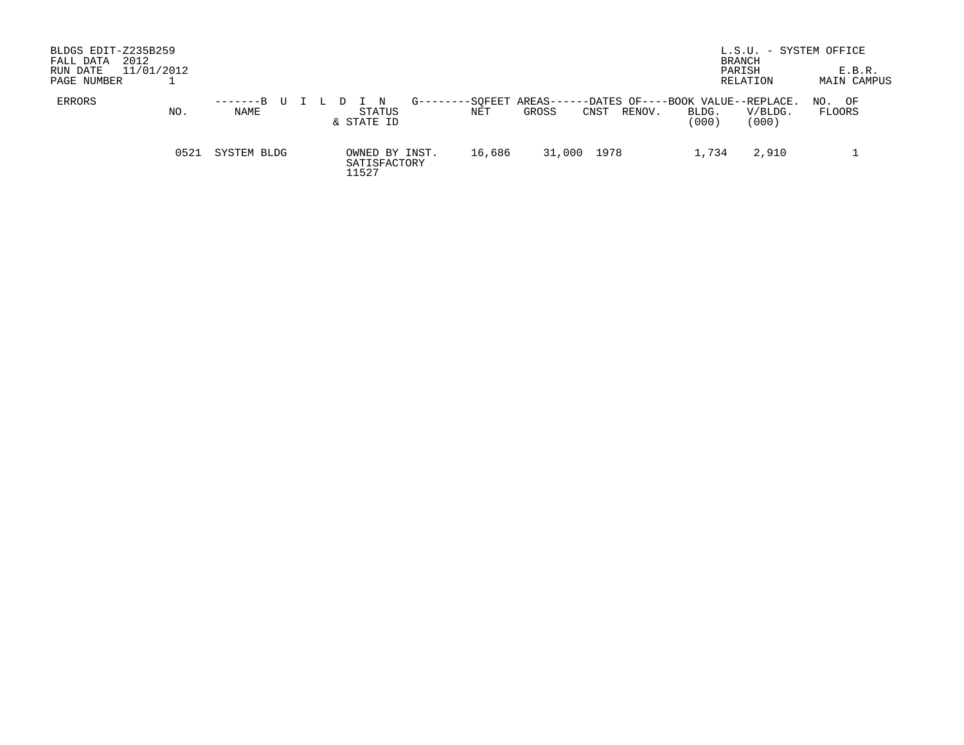| BLDGS EDIT-Z235B259<br>2012<br>FALL DATA<br>RUN DATE<br>PAGE NUMBER | 11/01/2012 |                    |                                         |             |        |                             |                                                     |                | L.S.U. - SYSTEM OFFICE<br>BRANCH<br>PARISH<br>RELATION | E.B.R.<br>MAIN CAMPUS |
|---------------------------------------------------------------------|------------|--------------------|-----------------------------------------|-------------|--------|-----------------------------|-----------------------------------------------------|----------------|--------------------------------------------------------|-----------------------|
| ERRORS                                                              | NO.        | $-----B$ U<br>NAME | STATUS<br>& STATE ID                    | $G$ ------- | NET    | -SOFEET AREAS-----<br>GROSS | -DATES OF----BOOK VALUE--REPLACE.<br>RENOV.<br>CNST | BLDG.<br>(000) | V/BLDG.<br>(000)                                       | OF<br>NO.<br>FLOORS   |
|                                                                     | 0521       | SYSTEM BLDG        | OWNED BY INST.<br>SATISFACTORY<br>11527 |             | 16,686 | 31,000 1978                 |                                                     | 1,734          | 2,910                                                  |                       |